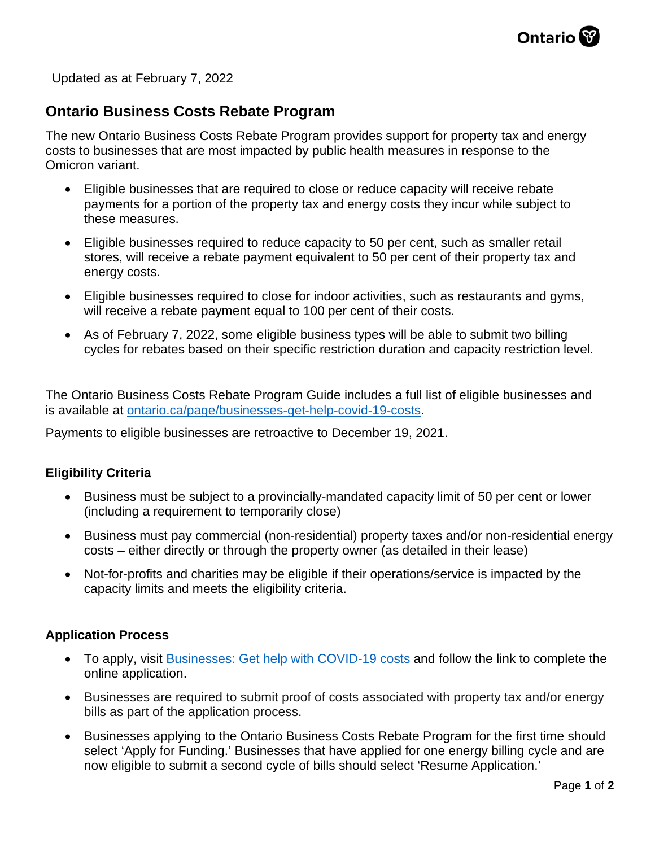

Updated as at February 7, 2022

# **Ontario Business Costs Rebate Program**

The new Ontario Business Costs Rebate Program provides support for property tax and energy costs to businesses that are most impacted by public health measures in response to the Omicron variant.

- Eligible businesses that are required to close or reduce capacity will receive rebate payments for a portion of the property tax and energy costs they incur while subject to these measures.
- Eligible businesses required to reduce capacity to 50 per cent, such as smaller retail stores, will receive a rebate payment equivalent to 50 per cent of their property tax and energy costs.
- Eligible businesses required to close for indoor activities, such as restaurants and gyms, will receive a rebate payment equal to 100 per cent of their costs.
- As of February 7, 2022, some eligible business types will be able to submit two billing cycles for rebates based on their specific restriction duration and capacity restriction level.

The Ontario Business Costs Rebate Program Guide includes a full list of eligible businesses and is available at [ontario.ca/page/businesses-get-help-covid-19-costs.](https://www.ontario.ca/page/businesses-get-help-covid-19-costs#section-1)

Payments to eligible businesses are retroactive to December 19, 2021.

#### **Eligibility Criteria**

- Business must be subject to a provincially-mandated capacity limit of 50 per cent or lower (including a requirement to temporarily close)
- Business must pay commercial (non-residential) property taxes and/or non-residential energy costs – either directly or through the property owner (as detailed in their lease)
- Not-for-profits and charities may be eligible if their operations/service is impacted by the capacity limits and meets the eligibility criteria.

#### **Application Process**

- To apply, visit [Businesses: Get help with COVID-19 costs](https://www.ontario.ca/page/businesses-get-help-covid-19-costs) and follow the link to complete the online application.
- Businesses are required to submit proof of costs associated with property tax and/or energy bills as part of the application process.
- Businesses applying to the Ontario Business Costs Rebate Program for the first time should select 'Apply for Funding.' Businesses that have applied for one energy billing cycle and are now eligible to submit a second cycle of bills should select 'Resume Application.'